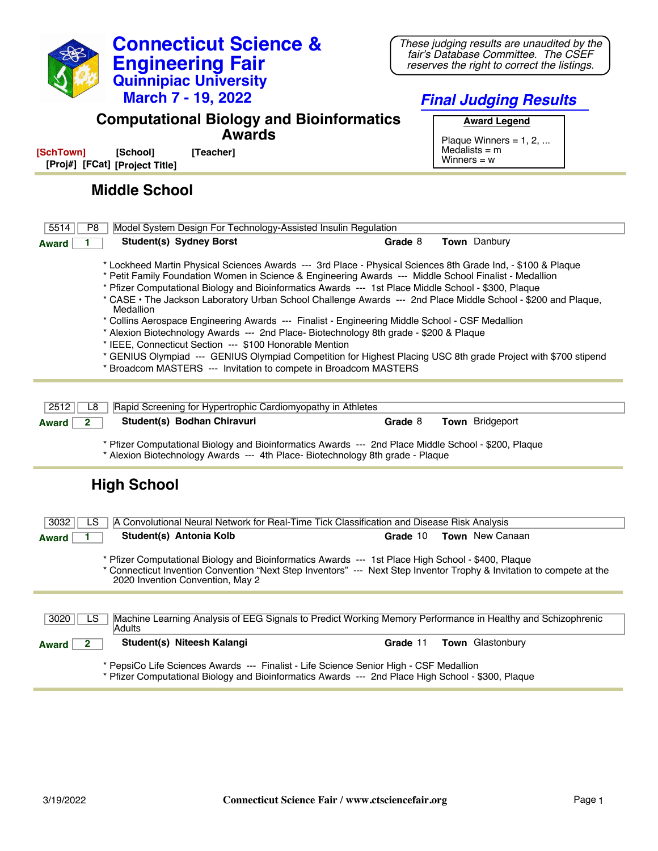